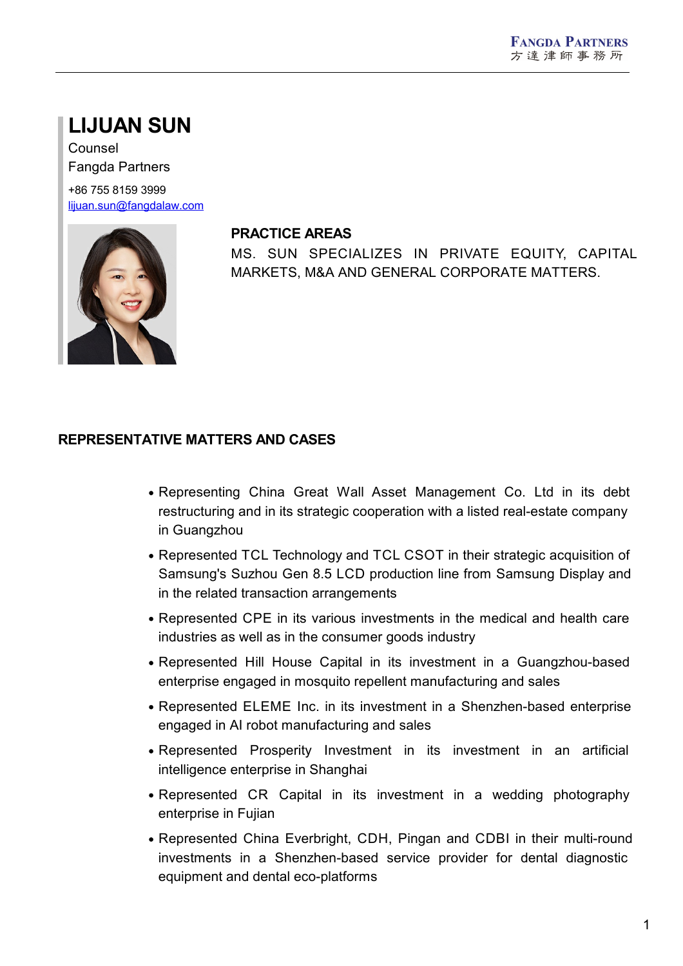# **LIJUAN SUN**

Counsel Fangda Partners

+86 755 8159 3999 [lijuan.sun@fangdalaw.com](mailto:lijuan.sun@fangdalaw.com)



#### **PRACTICE AREAS**

MS. SUN SPECIALIZES IN PRIVATE EQUITY, CAPITAL MARKETS, M&A AND GENERAL CORPORATE MATTERS.

#### **REPRESENTATIVE MATTERS AND CASES**

- Representing China Great Wall Asset Management Co. Ltd in its debt restructuring and in its strategic cooperation with a listed real-estate company in Guangzhou
- Represented TCL Technology and TCL CSOT in their strategic acquisition of Samsung's Suzhou Gen 8.5 LCD production line from Samsung Display and in the related transaction arrangements
- Represented CPE in its various investments in the medical and health care industries as well as in the consumer goods industry
- Represented Hill House Capital in its investment in a Guangzhou-based enterprise engaged in mosquito repellent manufacturing and sales
- Represented ELEME Inc. in its investment in a Shenzhen-based enterprise engaged in AI robot manufacturing and sales
- Represented Prosperity Investment in its investment in an artificial intelligence enterprise in Shanghai
- Represented CR Capital in its investment in a wedding photography enterprise in Fujian
- Represented China Everbright, CDH, Pingan and CDBI in their multi-round investments in a Shenzhen-based service provider for dental diagnostic equipment and dental eco-platforms